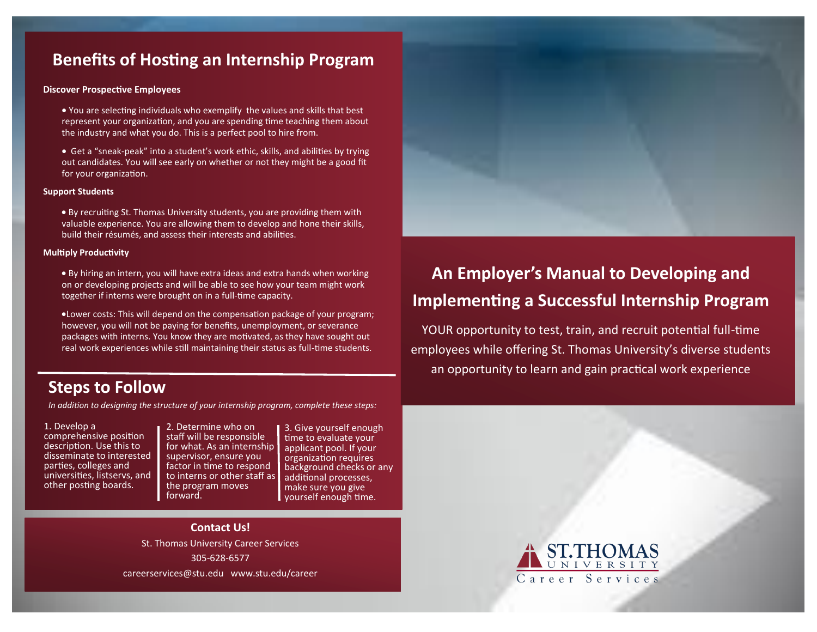# **Benefits of Hosting an Internship Program**

### **Discover Prospective Employees**

- You are selecting individuals who exemplify the values and skills that best represent your organization, and you are spending time teaching them about the industry and what you do. This is a perfect pool to hire from.
- Get a "sneak-peak" into a student's work ethic, skills, and abilities by trying out candidates. You will see early on whether or not they might be a good fit for your organization.

#### **Support Students**

 By recruiting St. Thomas University students, you are providing them with valuable experience. You are allowing them to develop and hone their skills, build their résumés, and assess their interests and abilities.

#### **Multiply Productivity**

 By hiring an intern, you will have extra ideas and extra hands when working on or developing projects and will be able to see how your team might work together if interns were brought on in a full-time capacity.

Lower costs: This will depend on the compensation package of your program; however, you will not be paying for benefits, unemployment, or severance packages with interns. You know they are motivated, as they have sought out real work experiences while still maintaining their status as full-time students.

# **Steps to Follow**

*In addition to designing the structure of your internship program, complete these steps:*

1. Develop a comprehensive position description. Use this to disseminate to interested parties, colleges and universities, listservs, and other posting boards.

2. Determine who on staff will be responsible for what. As an internship supervisor, ensure you factor in time to respond to interns or other staff as the program moves forward.

3. Give yourself enough time to evaluate your applicant pool. If your organization requires background checks or any additional processes, make sure you give yourself enough time.

## **Contact Us!**

St. Thomas University Career Services 305-628-6577 careerservices@stu.edu www.stu.edu/career



YOUR opportunity to test, train, and recruit potential full-time employees while offering St. Thomas University's diverse students an opportunity to learn and gain practical work experience